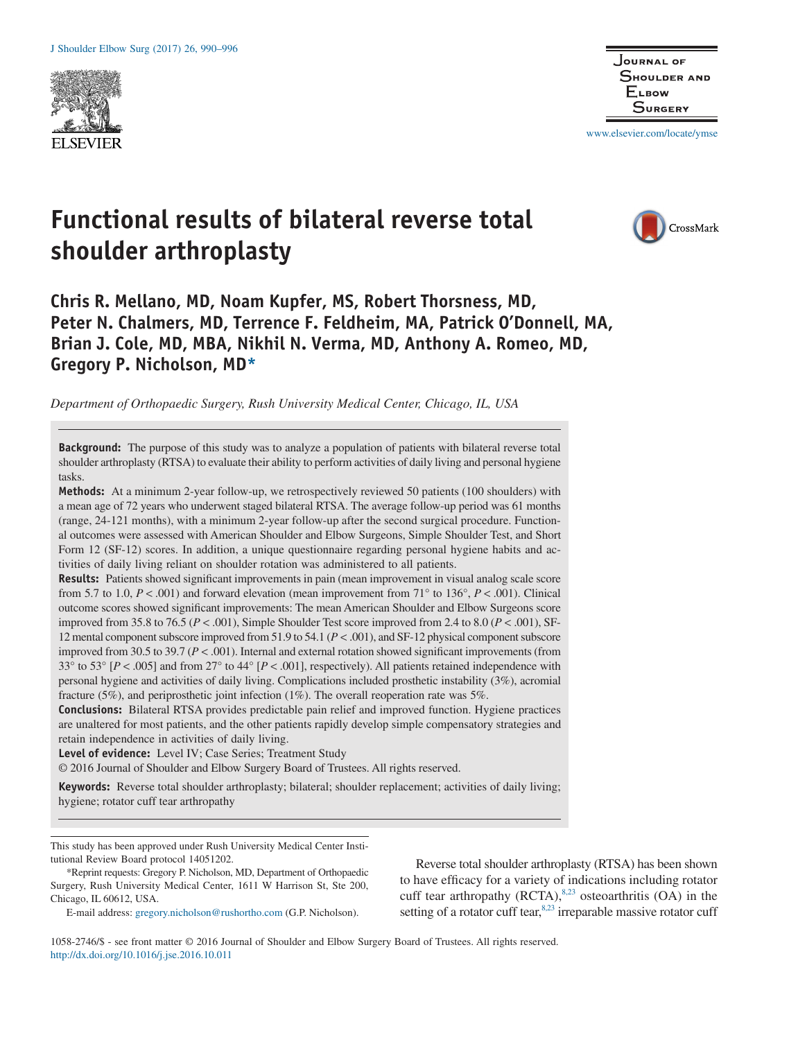



www.elsevier.com/locate/ymse

# **Functional results of bilateral reverse total shoulder arthroplasty**



**Chris R. Mellano, MD, Noam Kupfer, MS, Robert Thorsness, MD, Peter N. Chalmers, MD, Terrence F. Feldheim, MA, Patrick O'Donnell, MA, Brian J. Cole, MD, MBA, Nikhil N. Verma, MD, Anthony A. Romeo, MD, Gregory P. Nicholson, MD\***

*Department of Orthopaedic Surgery, Rush University Medical Center, Chicago, IL, USA*

**Background:** The purpose of this study was to analyze a population of patients with bilateral reverse total shoulder arthroplasty (RTSA) to evaluate their ability to perform activities of daily living and personal hygiene tasks.

**Methods:** At a minimum 2-year follow-up, we retrospectively reviewed 50 patients (100 shoulders) with a mean age of 72 years who underwent staged bilateral RTSA. The average follow-up period was 61 months (range, 24-121 months), with a minimum 2-year follow-up after the second surgical procedure. Functional outcomes were assessed with American Shoulder and Elbow Surgeons, Simple Shoulder Test, and Short Form 12 (SF-12) scores. In addition, a unique questionnaire regarding personal hygiene habits and activities of daily living reliant on shoulder rotation was administered to all patients.

**Results:** Patients showed significant improvements in pain (mean improvement in visual analog scale score from 5.7 to 1.0, *P* < .001) and forward elevation (mean improvement from 71° to 136°, *P* < .001). Clinical outcome scores showed significant improvements: The mean American Shoulder and Elbow Surgeons score improved from 35.8 to 76.5 (*P* < .001), Simple Shoulder Test score improved from 2.4 to 8.0 (*P* < .001), SF-12 mental component subscore improved from 51.9 to 54.1 (*P* < .001), and SF-12 physical component subscore improved from 30.5 to 39.7 (*P* < .001). Internal and external rotation showed significant improvements (from 33° to 53° [*P* < .005] and from 27° to 44° [*P* < .001], respectively). All patients retained independence with personal hygiene and activities of daily living. Complications included prosthetic instability (3%), acromial fracture  $(5\%)$ , and periprosthetic joint infection  $(1\%)$ . The overall reoperation rate was  $5\%$ .

**Conclusions:** Bilateral RTSA provides predictable pain relief and improved function. Hygiene practices are unaltered for most patients, and the other patients rapidly develop simple compensatory strategies and retain independence in activities of daily living.

**Level of evidence:** Level IV; Case Series; Treatment Study

© 2016 Journal of Shoulder and Elbow Surgery Board of Trustees. All rights reserved.

**Keywords:** Reverse total shoulder arthroplasty; bilateral; shoulder replacement; activities of daily living; hygiene; rotator cuff tear arthropathy

This study has been approved under Rush University Medical Center Institutional Review Board protocol 14051202.

\*Reprint requests: Gregory P. Nicholson, MD, Department of Orthopaedic Surgery, Rush University Medical Center, 1611 W Harrison St, Ste 200, Chicago, IL 60612, USA.

E-mail address: gregory.nicholson@rushortho.com (G.P. Nicholson).

Reverse total shoulder arthroplasty (RTSA) has been shown to have efficacy for a variety of indications including rotator cuff tear arthropathy  $(RCTA)$ ,  $8,23$  osteoarthritis (OA) in the setting of a rotator cuff tear,<sup>8,23</sup> irreparable massive rotator cuff

1058-2746/\$ - see front matter © 2016 Journal of Shoulder and Elbow Surgery Board of Trustees. All rights reserved. http://dx.doi.org/10.1016/j.jse.2016.10.011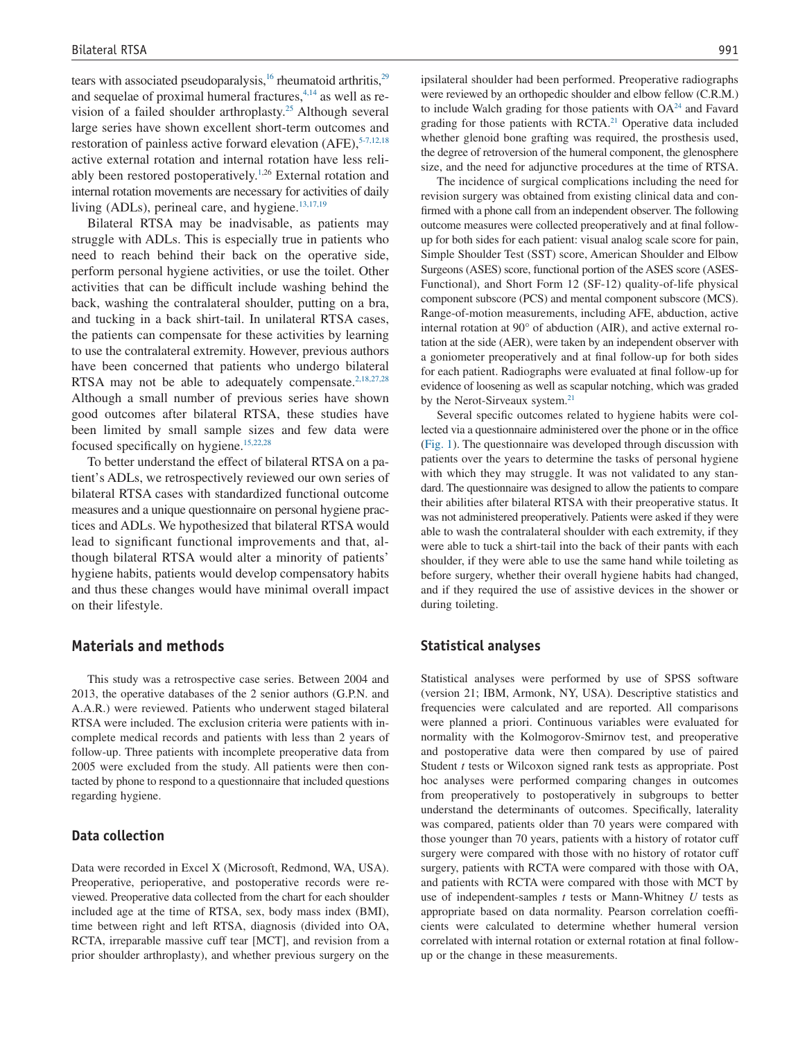tears with associated pseudoparalysis, $16$  rheumatoid arthritis, $29$ and sequelae of proximal humeral fractures, $4,14$  as well as revision of a failed shoulder arthroplasty.<sup>25</sup> Although several large series have shown excellent short-term outcomes and restoration of painless active forward elevation  $(AFE)$ ,  $5-7,12,18$ active external rotation and internal rotation have less reliably been restored postoperatively.<sup>1,26</sup> External rotation and internal rotation movements are necessary for activities of daily living (ADLs), perineal care, and hygiene. $13,17,19$ 

Bilateral RTSA may be inadvisable, as patients may struggle with ADLs. This is especially true in patients who need to reach behind their back on the operative side, perform personal hygiene activities, or use the toilet. Other activities that can be difficult include washing behind the back, washing the contralateral shoulder, putting on a bra, and tucking in a back shirt-tail. In unilateral RTSA cases, the patients can compensate for these activities by learning to use the contralateral extremity. However, previous authors have been concerned that patients who undergo bilateral RTSA may not be able to adequately compensate. $2,18,27,28$ Although a small number of previous series have shown good outcomes after bilateral RTSA, these studies have been limited by small sample sizes and few data were focused specifically on hygiene.<sup>15,22,28</sup>

To better understand the effect of bilateral RTSA on a patient's ADLs, we retrospectively reviewed our own series of bilateral RTSA cases with standardized functional outcome measures and a unique questionnaire on personal hygiene practices and ADLs. We hypothesized that bilateral RTSA would lead to significant functional improvements and that, although bilateral RTSA would alter a minority of patients' hygiene habits, patients would develop compensatory habits and thus these changes would have minimal overall impact on their lifestyle.

## **Materials and methods**

This study was a retrospective case series. Between 2004 and 2013, the operative databases of the 2 senior authors (G.P.N. and A.A.R.) were reviewed. Patients who underwent staged bilateral RTSA were included. The exclusion criteria were patients with incomplete medical records and patients with less than 2 years of follow-up. Three patients with incomplete preoperative data from 2005 were excluded from the study. All patients were then contacted by phone to respond to a questionnaire that included questions regarding hygiene.

## **Data collection**

Data were recorded in Excel X (Microsoft, Redmond, WA, USA). Preoperative, perioperative, and postoperative records were reviewed. Preoperative data collected from the chart for each shoulder included age at the time of RTSA, sex, body mass index (BMI), time between right and left RTSA, diagnosis (divided into OA, RCTA, irreparable massive cuff tear [MCT], and revision from a prior shoulder arthroplasty), and whether previous surgery on the

ipsilateral shoulder had been performed. Preoperative radiographs were reviewed by an orthopedic shoulder and elbow fellow (C.R.M.) to include Walch grading for those patients with  $OA<sup>24</sup>$  and Favard grading for those patients with RCTA.<sup>21</sup> Operative data included whether glenoid bone grafting was required, the prosthesis used, the degree of retroversion of the humeral component, the glenosphere size, and the need for adjunctive procedures at the time of RTSA.

The incidence of surgical complications including the need for revision surgery was obtained from existing clinical data and confirmed with a phone call from an independent observer. The following outcome measures were collected preoperatively and at final followup for both sides for each patient: visual analog scale score for pain, Simple Shoulder Test (SST) score, American Shoulder and Elbow Surgeons (ASES) score, functional portion of the ASES score (ASES-Functional), and Short Form 12 (SF-12) quality-of-life physical component subscore (PCS) and mental component subscore (MCS). Range-of-motion measurements, including AFE, abduction, active internal rotation at 90° of abduction (AIR), and active external rotation at the side (AER), were taken by an independent observer with a goniometer preoperatively and at final follow-up for both sides for each patient. Radiographs were evaluated at final follow-up for evidence of loosening as well as scapular notching, which was graded by the Nerot-Sirveaux system.<sup>21</sup>

Several specific outcomes related to hygiene habits were collected via a questionnaire administered over the phone or in the office (Fig. 1). The questionnaire was developed through discussion with patients over the years to determine the tasks of personal hygiene with which they may struggle. It was not validated to any standard. The questionnaire was designed to allow the patients to compare their abilities after bilateral RTSA with their preoperative status. It was not administered preoperatively. Patients were asked if they were able to wash the contralateral shoulder with each extremity, if they were able to tuck a shirt-tail into the back of their pants with each shoulder, if they were able to use the same hand while toileting as before surgery, whether their overall hygiene habits had changed, and if they required the use of assistive devices in the shower or during toileting.

## **Statistical analyses**

Statistical analyses were performed by use of SPSS software (version 21; IBM, Armonk, NY, USA). Descriptive statistics and frequencies were calculated and are reported. All comparisons were planned a priori. Continuous variables were evaluated for normality with the Kolmogorov-Smirnov test, and preoperative and postoperative data were then compared by use of paired Student *t* tests or Wilcoxon signed rank tests as appropriate. Post hoc analyses were performed comparing changes in outcomes from preoperatively to postoperatively in subgroups to better understand the determinants of outcomes. Specifically, laterality was compared, patients older than 70 years were compared with those younger than 70 years, patients with a history of rotator cuff surgery were compared with those with no history of rotator cuff surgery, patients with RCTA were compared with those with OA, and patients with RCTA were compared with those with MCT by use of independent-samples *t* tests or Mann-Whitney *U* tests as appropriate based on data normality. Pearson correlation coefficients were calculated to determine whether humeral version correlated with internal rotation or external rotation at final followup or the change in these measurements.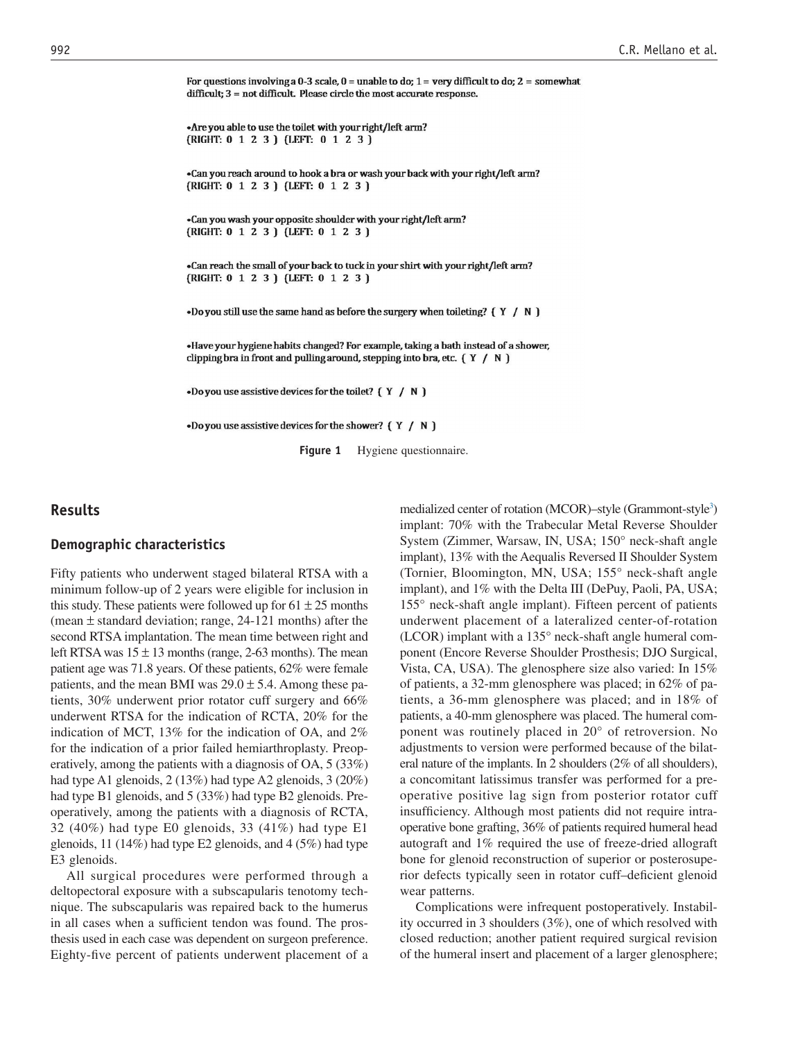For questions involving a 0-3 scale,  $0 =$  unable to do;  $1 =$  very difficult to do;  $2 =$  somewhat difficult; 3 = not difficult. Please circle the most accurate response.

•Are you able to use the toilet with your right/left arm? (RIGHT: 0 1 2 3 ) (LEFT: 0 1 2 3 )

•Can you reach around to hook a bra or wash your back with your right/left arm? (RIGHT: 0 1 2 3 ) (LEFT: 0 1 2 3 )

•Can you wash your opposite shoulder with your right/left arm? (RIGHT: 0 1 2 3 ) (LEFT: 0 1 2 3 )

•Can reach the small of your back to tuck in your shirt with your right/left arm? (RIGHT: 0 1 2 3 ) (LEFT: 0 1 2 3 )

. Do you still use the same hand as before the surgery when toileting?  $( Y / N )$ 

«Have your hygiene habits changed? For example, taking a bath instead of a shower, clipping bra in front and pulling around, stepping into bra, etc.  $(Y / N)$ 

•Do you use assistive devices for the toilet?  $(Y / N)$ 

•Do you use assistive devices for the shower?  $(Y / N)$ 

**Figure 1** Hygiene questionnaire.

### **Results**

#### **Demographic characteristics**

Fifty patients who underwent staged bilateral RTSA with a minimum follow-up of 2 years were eligible for inclusion in this study. These patients were followed up for  $61 \pm 25$  months (mean  $\pm$  standard deviation; range, 24-121 months) after the second RTSA implantation. The mean time between right and left RTSA was  $15 \pm 13$  months (range, 2-63 months). The mean patient age was 71.8 years. Of these patients, 62% were female patients, and the mean BMI was  $29.0 \pm 5.4$ . Among these patients, 30% underwent prior rotator cuff surgery and 66% underwent RTSA for the indication of RCTA, 20% for the indication of MCT, 13% for the indication of OA, and 2% for the indication of a prior failed hemiarthroplasty. Preoperatively, among the patients with a diagnosis of OA, 5 (33%) had type A1 glenoids, 2 (13%) had type A2 glenoids, 3 (20%) had type B1 glenoids, and 5 (33%) had type B2 glenoids. Preoperatively, among the patients with a diagnosis of RCTA, 32 (40%) had type E0 glenoids, 33 (41%) had type E1 glenoids, 11 (14%) had type E2 glenoids, and 4 (5%) had type E3 glenoids.

All surgical procedures were performed through a deltopectoral exposure with a subscapularis tenotomy technique. The subscapularis was repaired back to the humerus in all cases when a sufficient tendon was found. The prosthesis used in each case was dependent on surgeon preference. Eighty-five percent of patients underwent placement of a

medialized center of rotation (MCOR)-style (Grammont-style<sup>3</sup>) implant: 70% with the Trabecular Metal Reverse Shoulder System (Zimmer, Warsaw, IN, USA; 150° neck-shaft angle implant), 13% with the Aequalis Reversed II Shoulder System (Tornier, Bloomington, MN, USA; 155° neck-shaft angle implant), and 1% with the Delta III (DePuy, Paoli, PA, USA; 155° neck-shaft angle implant). Fifteen percent of patients underwent placement of a lateralized center-of-rotation (LCOR) implant with a 135° neck-shaft angle humeral component (Encore Reverse Shoulder Prosthesis; DJO Surgical, Vista, CA, USA). The glenosphere size also varied: In 15% of patients, a 32-mm glenosphere was placed; in 62% of patients, a 36-mm glenosphere was placed; and in 18% of patients, a 40-mm glenosphere was placed. The humeral component was routinely placed in 20° of retroversion. No adjustments to version were performed because of the bilateral nature of the implants. In 2 shoulders (2% of all shoulders), a concomitant latissimus transfer was performed for a preoperative positive lag sign from posterior rotator cuff insufficiency. Although most patients did not require intraoperative bone grafting, 36% of patients required humeral head autograft and 1% required the use of freeze-dried allograft bone for glenoid reconstruction of superior or posterosuperior defects typically seen in rotator cuff–deficient glenoid wear patterns.

Complications were infrequent postoperatively. Instability occurred in 3 shoulders (3%), one of which resolved with closed reduction; another patient required surgical revision of the humeral insert and placement of a larger glenosphere;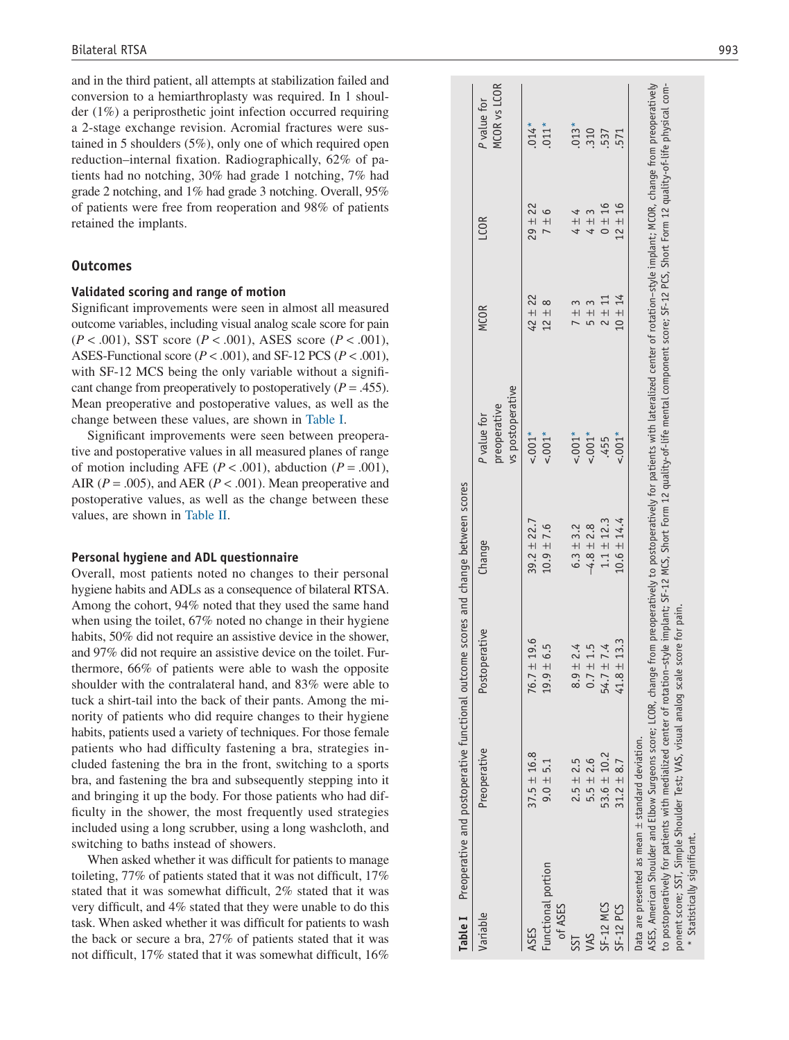and in the third patient, all attempts at stabilization failed and conversion to a hemiarthroplasty was required. In 1 shoulder (1%) a periprosthetic joint infection occurred requiring a 2-stage exchange revision. Acromial fractures were sustained in 5 shoulders (5%), only one of which required open reduction–internal fixation. Radiographically, 62% of patients had no notching, 30% had grade 1 notching, 7% had grade 2 notching, and 1% had grade 3 notching. Overall, 95% of patients were free from reoperation and 98% of patients retained the implants.

#### **Outcomes**

#### **Validated scoring and range of motion**

Significant improvements were seen in almost all measured outcome variables, including visual analog scale score for pain (*P* < .001), SST score (*P* < .001), ASES score (*P* < .001), ASES-Functional score ( *P* < .001), and SF-12 PCS ( *P* < .001), with SF-12 MCS being the only variable without a significant change from preoperatively to postoperatively  $(P = .455)$ . Mean preoperative and postoperative values, as well as the change between these values, are shown in Table I .

Significant improvements were seen between preoperative and postoperative values in all measured planes of range of motion including AFE ( $P < .001$ ), abduction ( $P = .001$ ), AIR ( $P = .005$ ), and AER ( $P < .001$ ). Mean preoperative and postoperative values, as well as the change between these values, are shown in Table II .

#### **Personal hygiene and ADL questionnaire**

Overall, most patients noted no changes to their personal hygiene habits and ADLs as a consequence of bilateral RTSA. Among the cohort, 94% noted that they used the same hand when using the toilet, 67% noted no change in their hygiene habits, 50% did not require an assistive device in the shower, and 97% did not require an assistive device on the toilet. Furthermore, 66% of patients were able to wash the opposite shoulder with the contralateral hand, and 83% were able to tuck a shirt-tail into the back of their pants. Among the minority of patients who did require changes to their hygiene habits, patients used a variety of techniques. For those female patients who had difficulty fastening a bra, strategies included fastening the bra in the front, switching to a sports bra, and fastening the bra and subsequently stepping into it and bringing it up the body. For those patients who had difficulty in the shower, the most frequently used strategies included using a long scrubber, using a long washcloth, and switching to baths instead of showers.

When asked whether it was difficult for patients to manage toileting, 77% of patients stated that it was not difficult, 17% stated that it was somewhat difficult, 2% stated that it was very difficult, and 4% stated that they were unable to do this task. When asked whether it was difficult for patients to wash the back or secure a bra, 27% of patients stated that it was not difficult, 17% stated that it was somewhat difficult, 16%

|                                                                                      |                 | Table I Preoperative and postoperative functional outcome scores and change between scores |                 |                                                                                                                                                                                                                                                                                                                                                                                                                      |                     |             |                             |
|--------------------------------------------------------------------------------------|-----------------|--------------------------------------------------------------------------------------------|-----------------|----------------------------------------------------------------------------------------------------------------------------------------------------------------------------------------------------------------------------------------------------------------------------------------------------------------------------------------------------------------------------------------------------------------------|---------------------|-------------|-----------------------------|
| Variable                                                                             | Preoperative    | Postoperative                                                                              | Change          | vs postoperative<br>preoperative<br>P value for                                                                                                                                                                                                                                                                                                                                                                      | <b>MCOR</b>         | <b>LCOR</b> | MCOR vs LCOR<br>P value for |
| <b>ASES</b>                                                                          | $37.5 \pm 16.8$ | $76.7 \pm 19.6$                                                                            | $39.2 \pm 22.7$ | $\leq 0.001*$                                                                                                                                                                                                                                                                                                                                                                                                        | 42 ± 22             | $29 + 22$   | $.014*$                     |
| Functional portion<br>of ASES                                                        | $9.0 \pm 5.1$   | $19.9 \pm 6.5$                                                                             | $10.9 \pm 7.6$  | $\leq 0.001*$                                                                                                                                                                                                                                                                                                                                                                                                        | $12 + 8$            | $7 \pm 6$   | $011*$                      |
| SST                                                                                  | $2.5 \pm 2.5$   | $.9 \pm 2.4$                                                                               | $6.3 \pm 3.2$   | $5001*$                                                                                                                                                                                                                                                                                                                                                                                                              | $7 \pm 3$           | $4 \pm 4$   | $013*$                      |
| VAS                                                                                  | $5.5 \pm 2.6$   | $.7 \pm 1.5$                                                                               | $-4.8 \pm 2.8$  | $\leq 001*$                                                                                                                                                                                                                                                                                                                                                                                                          | $\frac{3}{1}$<br>IJ | $4 \pm 3$   | 310                         |
| SF-12 MCS                                                                            | $53.6 \pm 10.2$ | 54.7 ± 7.4                                                                                 | $1.1 \pm 12.3$  | .455                                                                                                                                                                                                                                                                                                                                                                                                                 | $2 + 11$            | 0±16        | 537                         |
| SF-12 PCS                                                                            | $31.2 \pm 8.7$  | $41.8 \pm 13.3$                                                                            | $10.6 \pm 14.4$ | $5001*$                                                                                                                                                                                                                                                                                                                                                                                                              | $10 + 14$           | $12 + 16$   | 571                         |
| Data are presented as mean $\pm$ standard deviation.<br>* Statistically significant. |                 | ponent score; SST, Simple Shoulder Test; VAS, visual analog scale score for pain.          |                 | ASES, American Shoulder and Elbow Surgeons score; LCOR, change from preoperatively to postoperatively for patients with lateralized center of rotation-style implant; MCOR, change from preoperatively<br>to postoperatively for patients with medialized center of rotation-style implant; SF-12 MCS, Short Form 12 quality-of-life emertal component score; SF-12 PCS, Short Form 12 quality-of-life physical com- |                     |             |                             |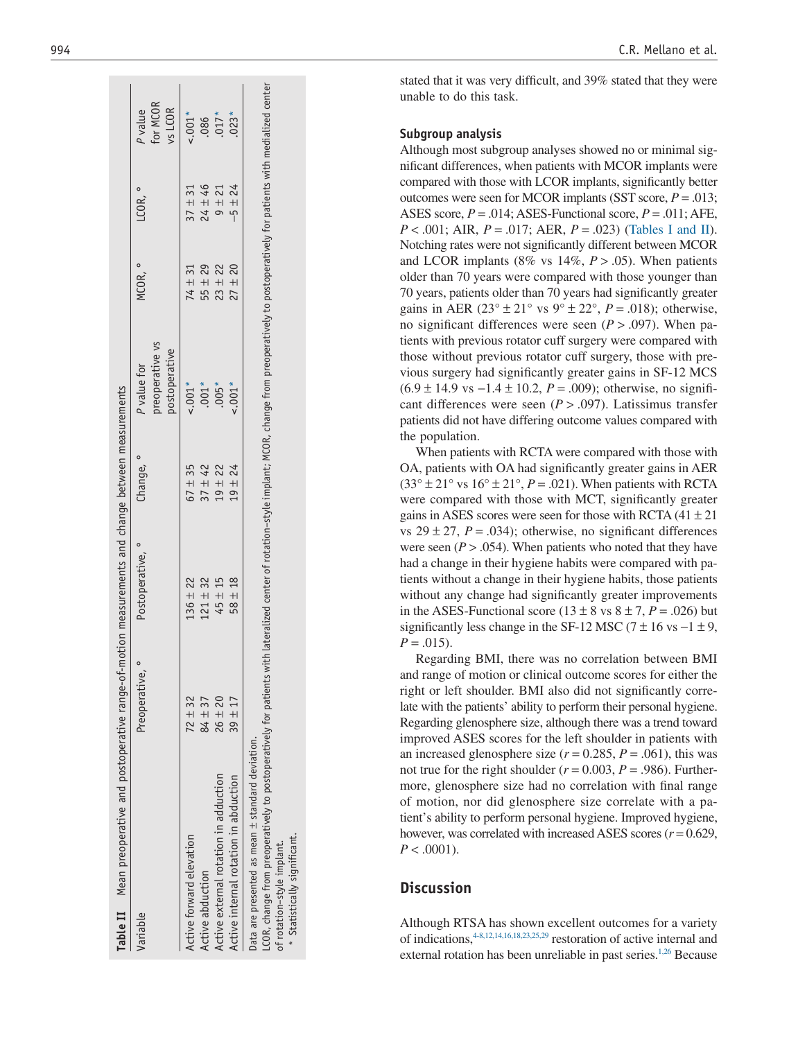|                  | Table II Mean preoperative and postoperative range-of-motion measurements and change between measurements                                                                                                                                                                                                                     |               |                  |           |                                                 |             |             |                                |
|------------------|-------------------------------------------------------------------------------------------------------------------------------------------------------------------------------------------------------------------------------------------------------------------------------------------------------------------------------|---------------|------------------|-----------|-------------------------------------------------|-------------|-------------|--------------------------------|
| Variable         |                                                                                                                                                                                                                                                                                                                               | Preoperative, | Postoperative, ° | Change, ° | preoperative vs<br>postoperative<br>P value for | MCOR,       | LCOR, °     | for MCOR<br>vs LCOR<br>P value |
|                  | Active forward elevation                                                                                                                                                                                                                                                                                                      | $72 + 32$     | $136 \pm 22$     | $67 + 35$ | $\leq 0.001*$                                   | $74 \pm 31$ | $37 \pm 31$ | $2.001*$                       |
| Active abduction |                                                                                                                                                                                                                                                                                                                               | $84 \pm 37$   | $121 \pm 32$     | $37 + 42$ | $.001*$                                         | $55 + 29$   | 24 ± 46     | .086                           |
|                  | Active external rotation in adduction                                                                                                                                                                                                                                                                                         | $26 + 20$     | 45 ± 15          | $19 + 22$ | $.005*$                                         | $23 + 22$   | $9 \pm 21$  | $.017*$                        |
|                  | Active internal rotation in abduction                                                                                                                                                                                                                                                                                         | $39 + 17$     | $58 \pm 18$      | $19 + 24$ | $5001*$                                         | $27 + 20$   | $-5 \pm 24$ | $.023*$                        |
|                  | LCOR, change from preoperatively to postoperatively for patients with lateralized center of rotation-style implant; MCOR, change from preoperatively to postoperatively for patients with medialized center<br>Data are presented as mean ± standard deviation.<br>* Statistically significant.<br>of rotation-style implant. |               |                  |           |                                                 |             |             |                                |
|                  |                                                                                                                                                                                                                                                                                                                               |               |                  |           |                                                 |             |             |                                |

994 C.R. Mellano et al.

stated that it was very difficult, and 39% stated that they were unable to do this task.

#### **Subgroup analysis**

Although most subgroup analyses showed no or minimal significant differences, when patients with MCOR implants were compared with those with LCOR implants, significantly better outcomes were seen for MCOR implants (SST score, *P* = .013; ASES score,  $P = .014$ ; ASES-Functional score,  $P = .011$ ; AFE, *P* < .001; AIR, *P* = .017; AER, *P* = .023) (Tables I and II). Notching rates were not significantly different between MCOR and LCOR implants (8% vs  $14\%$ ,  $P > .05$ ). When patients older than 70 years were compared with those younger than 70 years, patients older than 70 years had significantly greater gains in AER  $(23^{\circ} \pm 21^{\circ}$  vs  $9^{\circ} \pm 22^{\circ}$ ,  $P = .018$ ); otherwise, no significant differences were seen ( *P* > .097). When patients with previous rotator cuff surgery were compared with those without previous rotator cuff surgery, those with previous surgery had significantly greater gains in SF-12 MCS  $(6.9 \pm 14.9 \text{ vs } -1.4 \pm 10.2, P = .009)$ ; otherwise, no significant differences were seen (*P* > .097). Latissimus transfer patients did not have differing outcome values compared with the population.

When patients with RCTA were compared with those with OA, patients with OA had significantly greater gains in AER  $(33^{\circ} \pm 21^{\circ}$  vs  $16^{\circ} \pm 21^{\circ}$ ,  $P = .021$ ). When patients with RCTA were compared with those with MCT, significantly greater gains in ASES scores were seen for those with RCTA  $(41 \pm 21)$ vs  $29 \pm 27$ ,  $P = .034$ ); otherwise, no significant differences were seen  $(P > .054)$ . When patients who noted that they have had a change in their hygiene habits were compared with patients without a change in their hygiene habits, those patients without any change had significantly greater improvements in the ASES-Functional score  $(13 \pm 8 \text{ vs } 8 \pm 7, P = .026)$  but significantly less change in the SF-12 MSC ( $7 \pm 16$  vs  $-1 \pm 9$ ,  $P = .015$ ).

Regarding BMI, there was no correlation between BMI and range of motion or clinical outcome scores for either the right or left shoulder. BMI also did not significantly correlate with the patients' ability to perform their personal hygiene. Regarding glenosphere size, although there was a trend toward improved ASES scores for the left shoulder in patients with an increased glenosphere size  $(r = 0.285, P = .061)$ , this was not true for the right shoulder  $(r = 0.003, P = .986)$ . Furthermore, glenosphere size had no correlation with final range of motion, nor did glenosphere size correlate with a patient's ability to perform personal hygiene. Improved hygiene, however, was correlated with increased ASES scores  $(r = 0.629)$ ,  $P < .0001$ ).

# **Discussion**

Although RTSA has shown excellent outcomes for a variety of indications,4-8,12,14,16,18,23,25,29 restoration of active internal and external rotation has been unreliable in past series.<sup>1,26</sup> Because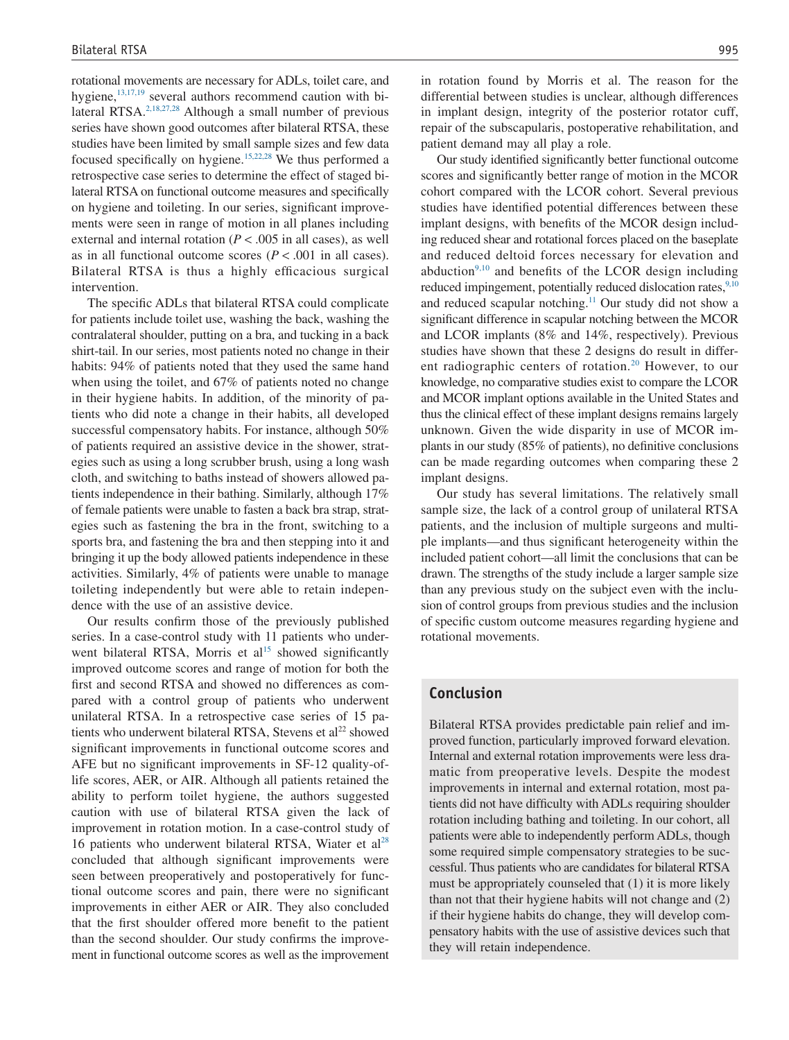rotational movements are necessary for ADLs, toilet care, and hygiene,<sup>13,17,19</sup> several authors recommend caution with bilateral RTSA.<sup>2,18,27,28</sup> Although a small number of previous series have shown good outcomes after bilateral RTSA, these studies have been limited by small sample sizes and few data focused specifically on hygiene.<sup>15,22,28</sup> We thus performed a retrospective case series to determine the effect of staged bilateral RTSA on functional outcome measures and specifically on hygiene and toileting. In our series, significant improvements were seen in range of motion in all planes including external and internal rotation  $(P < .005$  in all cases), as well as in all functional outcome scores  $(P < .001$  in all cases). Bilateral RTSA is thus a highly efficacious surgical intervention.

The specific ADLs that bilateral RTSA could complicate for patients include toilet use, washing the back, washing the contralateral shoulder, putting on a bra, and tucking in a back shirt-tail. In our series, most patients noted no change in their habits: 94% of patients noted that they used the same hand when using the toilet, and 67% of patients noted no change in their hygiene habits. In addition, of the minority of patients who did note a change in their habits, all developed successful compensatory habits. For instance, although 50% of patients required an assistive device in the shower, strategies such as using a long scrubber brush, using a long wash cloth, and switching to baths instead of showers allowed patients independence in their bathing. Similarly, although 17% of female patients were unable to fasten a back bra strap, strategies such as fastening the bra in the front, switching to a sports bra, and fastening the bra and then stepping into it and bringing it up the body allowed patients independence in these activities. Similarly, 4% of patients were unable to manage toileting independently but were able to retain independence with the use of an assistive device.

Our results confirm those of the previously published series. In a case-control study with 11 patients who underwent bilateral RTSA, Morris et al<sup>15</sup> showed significantly improved outcome scores and range of motion for both the first and second RTSA and showed no differences as compared with a control group of patients who underwent unilateral RTSA. In a retrospective case series of 15 patients who underwent bilateral RTSA, Stevens et al<sup>22</sup> showed significant improvements in functional outcome scores and AFE but no significant improvements in SF-12 quality-oflife scores, AER, or AIR. Although all patients retained the ability to perform toilet hygiene, the authors suggested caution with use of bilateral RTSA given the lack of improvement in rotation motion. In a case-control study of 16 patients who underwent bilateral RTSA, Wiater et  $al<sup>28</sup>$ concluded that although significant improvements were seen between preoperatively and postoperatively for functional outcome scores and pain, there were no significant improvements in either AER or AIR. They also concluded that the first shoulder offered more benefit to the patient than the second shoulder. Our study confirms the improvement in functional outcome scores as well as the improvement

in rotation found by Morris et al. The reason for the differential between studies is unclear, although differences in implant design, integrity of the posterior rotator cuff, repair of the subscapularis, postoperative rehabilitation, and patient demand may all play a role.

Our study identified significantly better functional outcome scores and significantly better range of motion in the MCOR cohort compared with the LCOR cohort. Several previous studies have identified potential differences between these implant designs, with benefits of the MCOR design including reduced shear and rotational forces placed on the baseplate and reduced deltoid forces necessary for elevation and abduction<sup>9,10</sup> and benefits of the LCOR design including reduced impingement, potentially reduced dislocation rates, $9,10$ and reduced scapular notching.<sup>11</sup> Our study did not show a significant difference in scapular notching between the MCOR and LCOR implants (8% and 14%, respectively). Previous studies have shown that these 2 designs do result in different radiographic centers of rotation.<sup>20</sup> However, to our knowledge, no comparative studies exist to compare the LCOR and MCOR implant options available in the United States and thus the clinical effect of these implant designs remains largely unknown. Given the wide disparity in use of MCOR implants in our study (85% of patients), no definitive conclusions can be made regarding outcomes when comparing these 2 implant designs.

Our study has several limitations. The relatively small sample size, the lack of a control group of unilateral RTSA patients, and the inclusion of multiple surgeons and multiple implants—and thus significant heterogeneity within the included patient cohort—all limit the conclusions that can be drawn. The strengths of the study include a larger sample size than any previous study on the subject even with the inclusion of control groups from previous studies and the inclusion of specific custom outcome measures regarding hygiene and rotational movements.

# **Conclusion**

Bilateral RTSA provides predictable pain relief and improved function, particularly improved forward elevation. Internal and external rotation improvements were less dramatic from preoperative levels. Despite the modest improvements in internal and external rotation, most patients did not have difficulty with ADLs requiring shoulder rotation including bathing and toileting. In our cohort, all patients were able to independently perform ADLs, though some required simple compensatory strategies to be successful. Thus patients who are candidates for bilateral RTSA must be appropriately counseled that (1) it is more likely than not that their hygiene habits will not change and (2) if their hygiene habits do change, they will develop compensatory habits with the use of assistive devices such that they will retain independence.